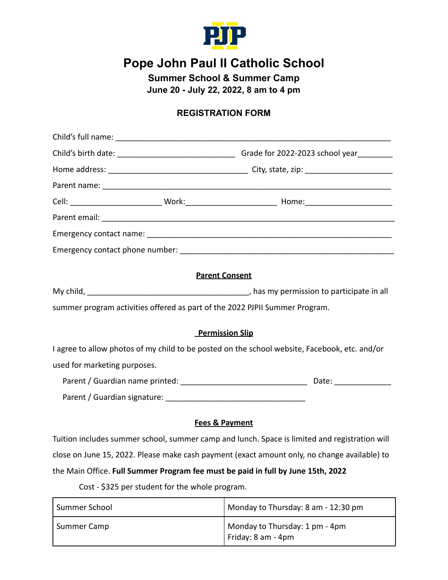

# **Pope John Paul II Catholic School**

**Summer School & Summer Camp**

**June 20 - July 22, 2022, 8 am to 4 pm**

### **REGISTRATION FORM**

|                              | <b>Parent Consent</b>                                                                         |
|------------------------------|-----------------------------------------------------------------------------------------------|
|                              |                                                                                               |
|                              | summer program activities offered as part of the 2022 PJPII Summer Program.                   |
|                              | <b>Permission Slip</b>                                                                        |
|                              | I agree to allow photos of my child to be posted on the school website, Facebook, etc. and/or |
| used for marketing purposes. |                                                                                               |
|                              |                                                                                               |
|                              |                                                                                               |
|                              | <b>Fees &amp; Payment</b>                                                                     |
|                              | Tuition includes summer school, summer camp and lunch. Space is limited and registration will |

ool, summer camp and lunch. Space is limited and registr close on June 15, 2022. Please make cash payment (exact amount only, no change available) to the Main Office. **Full Summer Program fee must be paid in full by June 15th, 2022**

Cost - \$325 per student for the whole program.

| Summer School | Monday to Thursday: 8 am - 12:30 pm                    |
|---------------|--------------------------------------------------------|
| Summer Camp   | Monday to Thursday: 1 pm - 4pm<br>I Friday: 8 am - 4pm |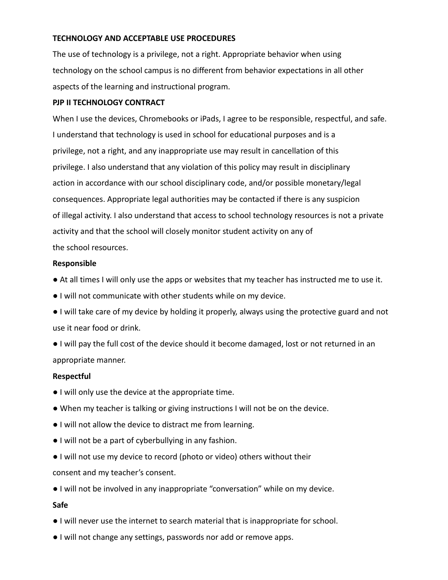#### **TECHNOLOGY AND ACCEPTABLE USE PROCEDURES**

The use of technology is a privilege, not a right. Appropriate behavior when using technology on the school campus is no different from behavior expectations in all other aspects of the learning and instructional program.

#### **PJP II TECHNOLOGY CONTRACT**

When I use the devices, Chromebooks or iPads, I agree to be responsible, respectful, and safe. I understand that technology is used in school for educational purposes and is a privilege, not a right, and any inappropriate use may result in cancellation of this privilege. I also understand that any violation of this policy may result in disciplinary action in accordance with our school disciplinary code, and/or possible monetary/legal consequences. Appropriate legal authorities may be contacted if there is any suspicion of illegal activity. I also understand that access to school technology resources is not a private activity and that the school will closely monitor student activity on any of the school resources.

#### **Responsible**

- At all times I will only use the apps or websites that my teacher has instructed me to use it.
- I will not communicate with other students while on my device.
- I will take care of my device by holding it properly, always using the protective guard and not use it near food or drink.
- I will pay the full cost of the device should it become damaged, lost or not returned in an appropriate manner.

#### **Respectful**

- I will only use the device at the appropriate time.
- When my teacher is talking or giving instructions I will not be on the device.
- I will not allow the device to distract me from learning.
- I will not be a part of cyberbullying in any fashion.
- I will not use my device to record (photo or video) others without their consent and my teacher's consent.
- I will not be involved in any inappropriate "conversation" while on my device.

#### **Safe**

- I will never use the internet to search material that is inappropriate for school.
- I will not change any settings, passwords nor add or remove apps.